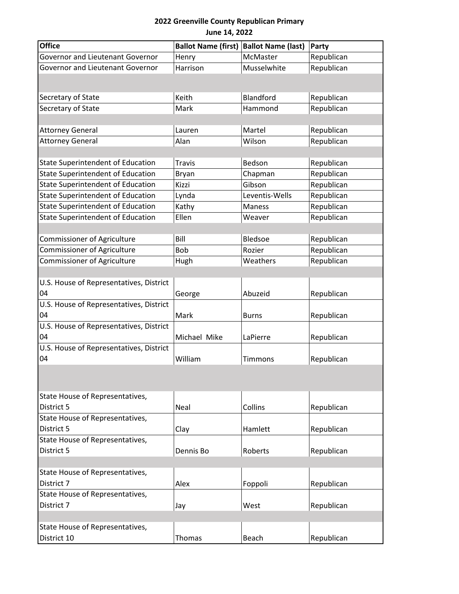## **2022 Greenville County Republican Primary June 14, 2022**

| <b>Office</b>                            | <b>Ballot Name (first)</b> | <b>Ballot Name (last)</b> | Party      |
|------------------------------------------|----------------------------|---------------------------|------------|
| Governor and Lieutenant Governor         | Henry                      | McMaster                  | Republican |
| Governor and Lieutenant Governor         | Harrison                   | Musselwhite               | Republican |
|                                          |                            |                           |            |
| Secretary of State                       | Keith                      | Blandford                 | Republican |
| Secretary of State                       | Mark                       | Hammond                   | Republican |
|                                          |                            |                           |            |
| <b>Attorney General</b>                  | Lauren                     | Martel                    | Republican |
| <b>Attorney General</b>                  | Alan                       | Wilson                    | Republican |
|                                          |                            |                           |            |
| <b>State Superintendent of Education</b> | <b>Travis</b>              | Bedson                    | Republican |
| <b>State Superintendent of Education</b> | Bryan                      | Chapman                   | Republican |
| <b>State Superintendent of Education</b> | Kizzi                      | Gibson                    | Republican |
| <b>State Superintendent of Education</b> | Lynda                      | Leventis-Wells            | Republican |
| <b>State Superintendent of Education</b> | Kathy                      | <b>Maness</b>             | Republican |
| <b>State Superintendent of Education</b> | Ellen                      | Weaver                    | Republican |
|                                          |                            |                           |            |
| <b>Commissioner of Agriculture</b>       | Bill                       | Bledsoe                   | Republican |
| <b>Commissioner of Agriculture</b>       | Bob                        | Rozier                    | Republican |
| <b>Commissioner of Agriculture</b>       | Hugh                       | Weathers                  | Republican |
|                                          |                            |                           |            |
| U.S. House of Representatives, District  |                            |                           |            |
| 04                                       | George                     | Abuzeid                   | Republican |
| U.S. House of Representatives, District  |                            |                           |            |
| 04                                       | Mark                       | <b>Burns</b>              | Republican |
| U.S. House of Representatives, District  |                            |                           |            |
| 04                                       | Michael Mike               | LaPierre                  | Republican |
| U.S. House of Representatives, District  |                            |                           |            |
| 04                                       | William                    | Timmons                   | Republican |
|                                          |                            |                           |            |
| State House of Representatives,          |                            |                           |            |
| District 5                               | Neal                       | Collins                   | Republican |
| State House of Representatives,          |                            |                           |            |
| District 5                               | Clay                       | Hamlett                   | Republican |
| State House of Representatives,          |                            |                           |            |
| District 5                               | Dennis Bo                  | Roberts                   | Republican |
|                                          |                            |                           |            |
| State House of Representatives,          |                            |                           |            |
| District 7                               | Alex                       | Foppoli                   | Republican |
| State House of Representatives,          |                            |                           |            |
| District 7                               | Jay                        | West                      | Republican |
|                                          |                            |                           |            |
| State House of Representatives,          |                            |                           |            |
| District 10                              | Thomas                     | Beach                     | Republican |